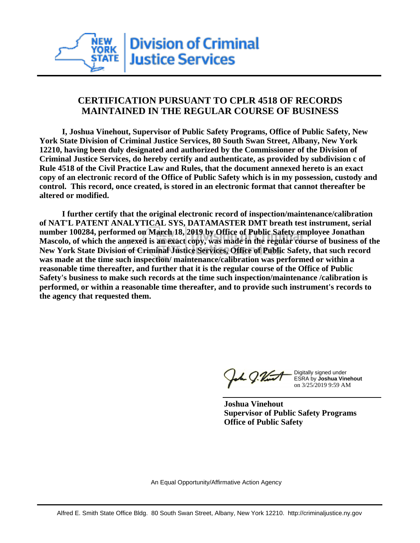# **CERTIFICATION PURSUANT TO CPLR 4518 OF RECORDS MAINTAINED IN THE REGULAR COURSE OF BUSINESS**

 **I, Joshua Vinehout, Supervisor of Public Safety Programs, Office of Public Safety, New York State Division of Criminal Justice Services, 80 South Swan Street, Albany, New York 12210, having been duly designated and authorized by the Commissioner of the Division of Criminal Justice Services, do hereby certify and authenticate, as provided by subdivision c of Rule 4518 of the Civil Practice Law and Rules, that the document annexed hereto is an exact copy of an electronic record of the Office of Public Safety which is in my possession, custody and control. This record, once created, is stored in an electronic format that cannot thereafter be altered or modified.**

 **I further certify that the original electronic record of inspection/maintenance/calibration of NAT'L PATENT ANALYTICAL SYS, DATAMASTER DMT breath test instrument, serial number 100284, performed on March 18, 2019 by Office of Public Safety employee Jonathan Mascolo, of which the annexed is an exact copy, was made in the regular course of business of the New York State Division of Criminal Justice Services, Office of Public Safety, that such record was made at the time such inspection/ maintenance/calibration was performed or within a reasonable time thereafter, and further that it is the regular course of the Office of Public Safety's business to make such records at the time such inspection/maintenance /calibration is performed, or within a reasonable time thereafter, and to provide such instrument's records to the agency that requested them.**

1 g.Vint

Digitally signed under ESRA by **Joshua Vinehout** on 3/25/2019 9:59 AM

**Joshua Vinehout Supervisor of Public Safety Programs Office of Public Safety**

An Equal Opportunity/Affirmative Action Agency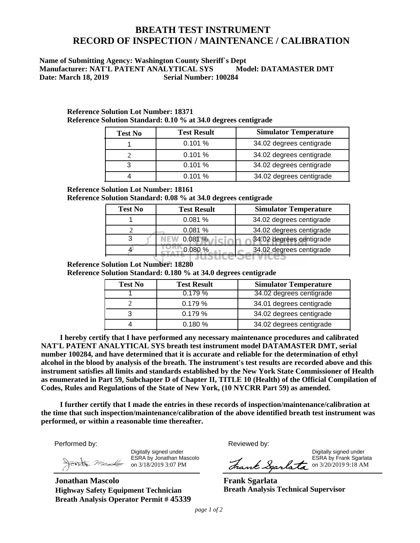# **BREATH TEST INSTRUMENT RECORD OF INSPECTION / MAINTENANCE / CALIBRATION**

### **Name of Submitting Agency: Washington County Sheriff`s Dept Manufacturer: NAT'L PATENT ANALYTICAL SYS Model: DATAMASTER DMT**<br>Date: March 18, 2019 **Serial Number: 100284 Date: March 18, 2019**

| <b>Test No</b> | <b>Test Result</b> | <b>Simulator Temperature</b> |
|----------------|--------------------|------------------------------|
|                | 0.101%             | 34.02 degrees centigrade     |
|                | 0.101%             | 34.02 degrees centigrade     |
|                | 0.101%             | 34.02 degrees centigrade     |
|                | 0.101%             | 34.02 degrees centigrade     |

#### **Reference Solution Lot Number: 18371 Reference Solution Standard: 0.10 % at 34.0 degrees centigrade**

### **Reference Solution Lot Number: 18161**

**Reference Solution Standard: 0.08 % at 34.0 degrees centigrade**

| <b>Test No</b> | <b>Test Result</b> | <b>Simulator Temperature</b> |
|----------------|--------------------|------------------------------|
|                | 0.081%             | 34.02 degrees centigrade     |
|                | 0.081%             | 34.02 degrees centigrade     |
|                | 0.081%             | 34.02 degrees centigrade     |
|                |                    | 34.02 degrees centigrade     |
|                |                    |                              |

### **Reference Solution Lot Number: 18280**

**Reference Solution Standard: 0.180 % at 34.0 degrees centigrade**

| <b>Test No</b> | <b>Test Result</b> | <b>Simulator Temperature</b> |
|----------------|--------------------|------------------------------|
|                | 0.179%             | 34.02 degrees centigrade     |
|                | 0.179%             | 34.01 degrees centigrade     |
|                | 0.179%             | 34.02 degrees centigrade     |
|                | 0.180%             | 34.02 degrees centigrade     |

 **NAT'L PATENT ANALYTICAL SYS breath test instrument model DATAMASTER DMT, serial number 100284, and have determined that it is accurate and reliable for the determination of ethyl alcohol in the blood by analysis of the breath. The instrument's test results are recorded above and this instrument satisfies all limits and standards established by the New York State Commissioner of Health**   **as enumerated in Part 59, Subchapter D of Chapter II, TITLE 10 (Health) of the Official Compilation of I hereby certify that I have performed any necessary maintenance procedures and calibrated Codes, Rules and Regulations of the State of New York, (10 NYCRR Part 59) as amended.**

 **performed, or within a reasonable time thereafter. I further certify that I made the entries in these records of inspection/maintenance/calibration at the time that such inspection/maintenance/calibration of the above identified breath test instrument was** 

Performed by:

Digitally signed under ESRA by Jonathan Mascolo on 3/18/2019 3:07 PM

**Jonathan Mascolo Highway Safety Equipment Technician Breath Analysis Operator Permit # 45339** Reviewed by:

Digitally signed under **Example 20** and the control of the control of the control of the control of the control of the control of the control of the control of the control of the control of the control of the control of th ESRA by Frank Sgarlata Frank Sgarlata on 3/20/2019 9:18 AM

**Frank Sgarlata Breath Analysis Technical Supervisor**